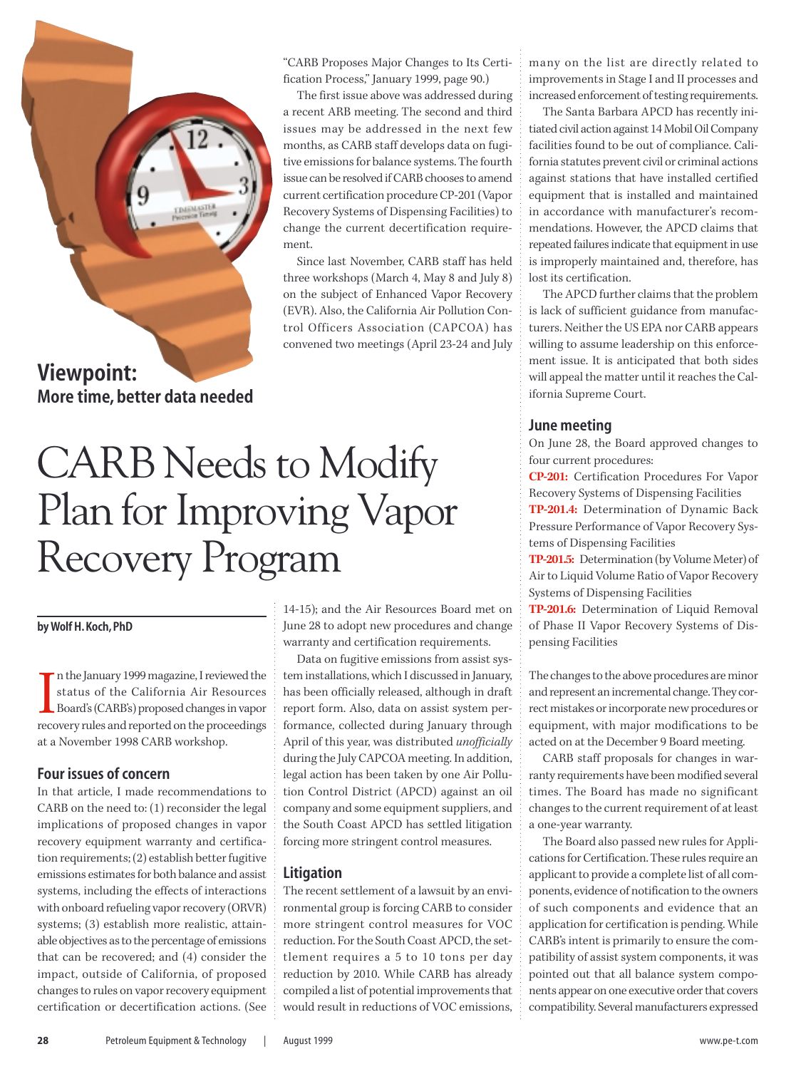

**Viewpoint: More time, better data needed**

"CARB Proposes Major Changes to Its Certification Process," January 1999, page 90.)

The first issue above was addressed during a recent ARB meeting. The second and third issues may be addressed in the next few months, as CARB staff develops data on fugitive emissions for balance systems. The fourth issue can be resolved if CARB chooses to amend current certification procedure CP-201 (Vapor Recovery Systems of Dispensing Facilities) to change the current decertification requirement.

Since last November, CARB staff has held three workshops (March 4, May 8 and July 8) on the subject of Enhanced Vapor Recovery (EVR). Also, the California Air Pollution Control Officers Association (CAPCOA) has convened two meetings (April 23-24 and July

# CARB Needs to Modify Plan for Improving Vapor Recovery Program

#### **by Wolf H. Koch, PhD**

In the January 1999 magazine, I reviewed the status of the California Air Resources Board's (CARB's) proposed changes in vapor recovery rules and reported on the proceedings n the January 1999 magazine, I reviewed the status of the California Air Resources Board's (CARB's) proposed changes in vapor at a November 1998 CARB workshop.

#### **Four issues of concern**

In that article, I made recommendations to CARB on the need to: (1) reconsider the legal implications of proposed changes in vapor recovery equipment warranty and certification requirements; (2) establish better fugitive emissions estimates for both balance and assist systems, including the effects of interactions with onboard refueling vapor recovery (ORVR) systems; (3) establish more realistic, attainable objectives as to the percentage of emissions that can be recovered; and (4) consider the impact, outside of California, of proposed changes to rules on vapor recovery equipment certification or decertification actions. (See

14-15); and the Air Resources Board met on June 28 to adopt new procedures and change warranty and certification requirements.

Data on fugitive emissions from assist system installations, which I discussed in January, has been officially released, although in draft report form. Also, data on assist system performance, collected during January through April of this year, was distributed *unofficially* during the July CAPCOA meeting. In addition, legal action has been taken by one Air Pollution Control District (APCD) against an oil company and some equipment suppliers, and the South Coast APCD has settled litigation forcing more stringent control measures.

#### **Litigation**

The recent settlement of a lawsuit by an environmental group is forcing CARB to consider more stringent control measures for VOC reduction. For the South Coast APCD, the settlement requires a 5 to 10 tons per day reduction by 2010. While CARB has already compiled a list of potential improvements that would result in reductions of VOC emissions,

many on the list are directly related to improvements in Stage I and II processes and increased enforcement of testing requirements.

The Santa Barbara APCD has recently initiated civil action against 14 Mobil Oil Company facilities found to be out of compliance. California statutes prevent civil or criminal actions against stations that have installed certified equipment that is installed and maintained in accordance with manufacturer's recommendations. However, the APCD claims that repeated failures indicate that equipment in use is improperly maintained and, therefore, has lost its certification.

The APCD further claims that the problem is lack of sufficient guidance from manufacturers. Neither the US EPA nor CARB appears willing to assume leadership on this enforcement issue. It is anticipated that both sides will appeal the matter until it reaches the California Supreme Court.

#### **June meeting**

On June 28, the Board approved changes to four current procedures:

**CP-201:** Certification Procedures For Vapor Recovery Systems of Dispensing Facilities

**TP-201.4:** Determination of Dynamic Back Pressure Performance of Vapor Recovery Systems of Dispensing Facilities

**TP-201.5:** Determination (by Volume Meter) of Air to Liquid Volume Ratio of Vapor Recovery Systems of Dispensing Facilities

**TP-201.6:** Determination of Liquid Removal of Phase II Vapor Recovery Systems of Dispensing Facilities

The changes to the above procedures are minor and represent an incremental change. They correct mistakes or incorporate new procedures or equipment, with major modifications to be acted on at the December 9 Board meeting.

CARB staff proposals for changes in warranty requirements have been modified several times. The Board has made no significant changes to the current requirement of at least a one-year warranty.

The Board also passed new rules for Applications for Certification. These rules require an applicant to provide a complete list of all components, evidence of notification to the owners of such components and evidence that an application for certification is pending. While CARB's intent is primarily to ensure the compatibility of assist system components, it was pointed out that all balance system components appear on one executive order that covers compatibility. Several manufacturers expressed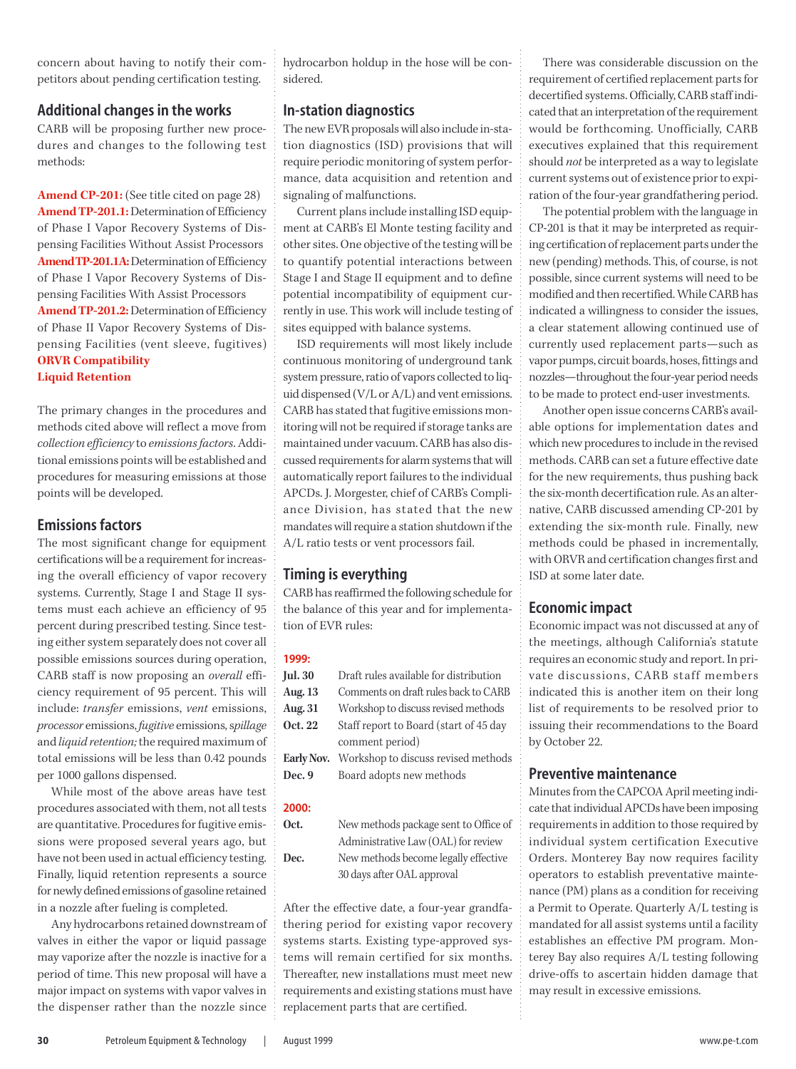concern about having to notify their competitors about pending certification testing.

## **Additional changes in the works**

CARB will be proposing further new procedures and changes to the following test methods:

**Amend CP-201:** (See title cited on page 28) **Amend TP-201.1:** Determination of Efficiency of Phase I Vapor Recovery Systems of Dispensing Facilities Without Assist Processors **Amend TP-201.1A:**Determination of Efficiency of Phase I Vapor Recovery Systems of Dispensing Facilities With Assist Processors **Amend TP-201.2:** Determination of Efficiency of Phase II Vapor Recovery Systems of Dispensing Facilities (vent sleeve, fugitives) **ORVR Compatibility Liquid Retention**

The primary changes in the procedures and methods cited above will reflect a move from *collection efficiency* to *emissions factors*. Additional emissions points will be established and procedures for measuring emissions at those points will be developed.

## **Emissions factors**

The most significant change for equipment certifications will be a requirement for increasing the overall efficiency of vapor recovery systems. Currently, Stage I and Stage II systems must each achieve an efficiency of 95 percent during prescribed testing. Since testing either system separately does not cover all possible emissions sources during operation, CARB staff is now proposing an *overall* efficiency requirement of 95 percent. This will include: *transfer* emissions, *vent* emissions, *processor* emissions, *fugitive* emissions, s*pillage* and *liquid retention;* the required maximum of total emissions will be less than 0.42 pounds per 1000 gallons dispensed.

While most of the above areas have test procedures associated with them, not all tests are quantitative. Procedures for fugitive emissions were proposed several years ago, but have not been used in actual efficiency testing. Finally, liquid retention represents a source for newly defined emissions of gasoline retained in a nozzle after fueling is completed.

Any hydrocarbons retained downstream of valves in either the vapor or liquid passage may vaporize after the nozzle is inactive for a period of time. This new proposal will have a major impact on systems with vapor valves in the dispenser rather than the nozzle since hydrocarbon holdup in the hose will be considered.

## **In-station diagnostics**

The new EVR proposals will also include in-station diagnostics (ISD) provisions that will require periodic monitoring of system performance, data acquisition and retention and signaling of malfunctions.

Current plans include installing ISD equipment at CARB's El Monte testing facility and other sites. One objective of the testing will be to quantify potential interactions between Stage I and Stage II equipment and to define potential incompatibility of equipment currently in use. This work will include testing of sites equipped with balance systems.

ISD requirements will most likely include continuous monitoring of underground tank system pressure, ratio of vapors collected to liquid dispensed (V/L or A/L) and vent emissions. CARB has stated that fugitive emissions monitoring will not be required if storage tanks are maintained under vacuum. CARB has also discussed requirements for alarm systems that will automatically report failures to the individual APCDs. J. Morgester, chief of CARB's Compliance Division, has stated that the new mandates will require a station shutdown if the A/L ratio tests or vent processors fail.

## **Timing is everything**

CARB has reaffirmed the following schedule for the balance of this year and for implementation of EVR rules:

#### **1999:**

| Jul. 30 | Draft rules available for distribution                |
|---------|-------------------------------------------------------|
| Aug. 13 | Comments on draft rules back to CARB                  |
| Aug. 31 | Workshop to discuss revised methods                   |
| Oct. 22 | Staff report to Board (start of 45 day                |
|         | comment period)                                       |
|         | <b>Early Nov.</b> Workshop to discuss revised methods |
| Dec. 9  | Board adopts new methods                              |

#### **2000:**

**Oct.** New methods package sent to Office of Administrative Law (OAL) for review **Dec.** New methods become legally effective 30 days after OAL approval

After the effective date, a four-year grandfathering period for existing vapor recovery systems starts. Existing type-approved systems will remain certified for six months. Thereafter, new installations must meet new requirements and existing stations must have replacement parts that are certified.

There was considerable discussion on the requirement of certified replacement parts for decertified systems. Officially, CARB staff indicated that an interpretation of the requirement would be forthcoming. Unofficially, CARB executives explained that this requirement should *not* be interpreted as a way to legislate current systems out of existence prior to expiration of the four-year grandfathering period.

The potential problem with the language in CP-201 is that it may be interpreted as requiring certification of replacement parts under the new (pending) methods. This, of course, is not possible, since current systems will need to be modified and then recertified. While CARB has indicated a willingness to consider the issues, a clear statement allowing continued use of currently used replacement parts—such as vapor pumps, circuit boards, hoses, fittings and nozzles—throughout the four-year period needs to be made to protect end-user investments.

Another open issue concerns CARB's available options for implementation dates and which new procedures to include in the revised methods. CARB can set a future effective date for the new requirements, thus pushing back the six-month decertification rule. As an alternative, CARB discussed amending CP-201 by extending the six-month rule. Finally, new methods could be phased in incrementally, with ORVR and certification changes first and ISD at some later date.

## **Economic impact**

Economic impact was not discussed at any of the meetings, although California's statute requires an economic study and report. In private discussions, CARB staff members indicated this is another item on their long list of requirements to be resolved prior to issuing their recommendations to the Board by October 22.

## **Preventive maintenance**

Minutes from the CAPCOA April meeting indicate that individual APCDs have been imposing requirements in addition to those required by individual system certification Executive Orders. Monterey Bay now requires facility operators to establish preventative maintenance (PM) plans as a condition for receiving a Permit to Operate. Quarterly A/L testing is mandated for all assist systems until a facility establishes an effective PM program. Monterey Bay also requires A/L testing following drive-offs to ascertain hidden damage that may result in excessive emissions.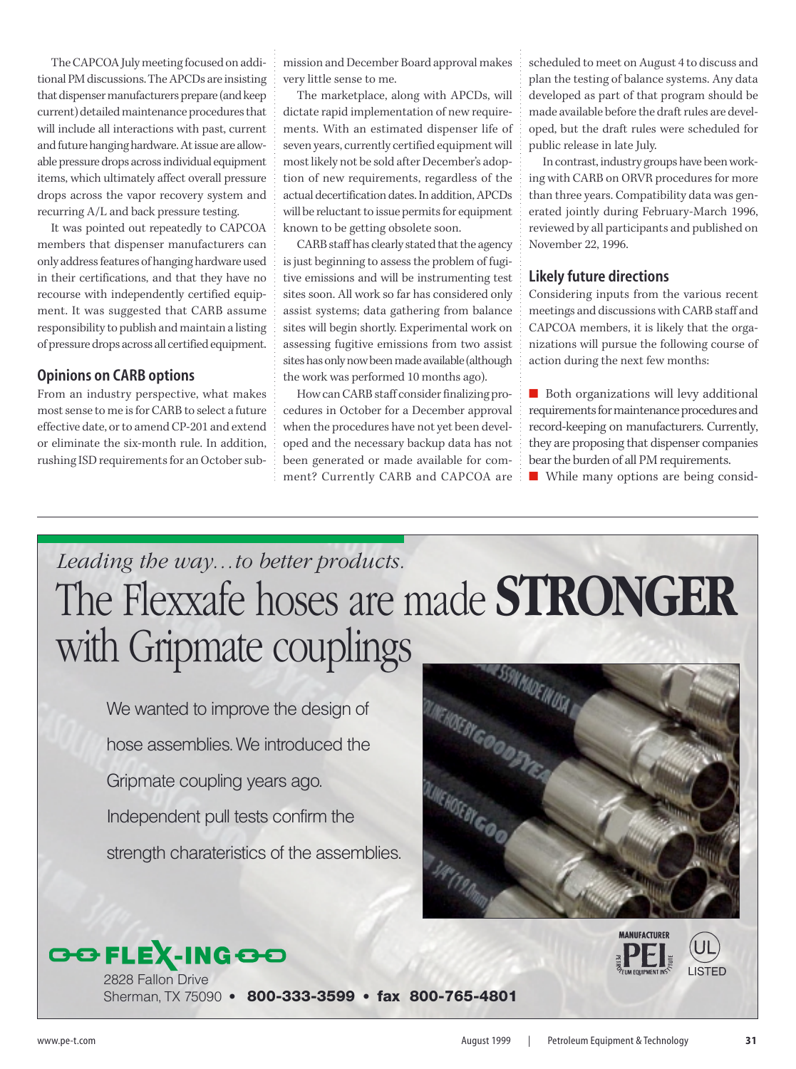The CAPCOA July meeting focused on additional PM discussions. The APCDs are insisting that dispenser manufacturers prepare (and keep current) detailed maintenance procedures that will include all interactions with past, current and future hanging hardware. At issue are allowable pressure drops across individual equipment items, which ultimately affect overall pressure drops across the vapor recovery system and recurring A/L and back pressure testing.

It was pointed out repeatedly to CAPCOA members that dispenser manufacturers can only address features of hanging hardware used in their certifications, and that they have no recourse with independently certified equipment. It was suggested that CARB assume responsibility to publish and maintain a listing of pressure drops across all certified equipment.

## **Opinions on CARB options**

From an industry perspective, what makes most sense to me is for CARB to select a future effective date, or to amend CP-201 and extend or eliminate the six-month rule. In addition, rushing ISD requirements for an October submission and December Board approval makes very little sense to me.

The marketplace, along with APCDs, will dictate rapid implementation of new requirements. With an estimated dispenser life of seven years, currently certified equipment will most likely not be sold after December's adoption of new requirements, regardless of the actual decertification dates. In addition, APCDs will be reluctant to issue permits for equipment known to be getting obsolete soon.

CARB staff has clearly stated that the agency is just beginning to assess the problem of fugitive emissions and will be instrumenting test sites soon. All work so far has considered only assist systems; data gathering from balance sites will begin shortly. Experimental work on assessing fugitive emissions from two assist sites has only now been made available (although the work was performed 10 months ago).

How can CARB staff consider finalizing procedures in October for a December approval when the procedures have not yet been developed and the necessary backup data has not been generated or made available for comment? Currently CARB and CAPCOA are scheduled to meet on August 4 to discuss and plan the testing of balance systems. Any data developed as part of that program should be made available before the draft rules are developed, but the draft rules were scheduled for public release in late July.

In contrast, industry groups have been working with CARB on ORVR procedures for more than three years. Compatibility data was generated jointly during February-March 1996, reviewed by all participants and published on November 22, 1996.

## **Likely future directions**

Considering inputs from the various recent meetings and discussions with CARB staff and CAPCOA members, it is likely that the organizations will pursue the following course of action during the next few months:

■ Both organizations will levy additional requirements for maintenance procedures and record-keeping on manufacturers. Currently, they are proposing that dispenser companies bear the burden of all PM requirements. ■ While many options are being consid